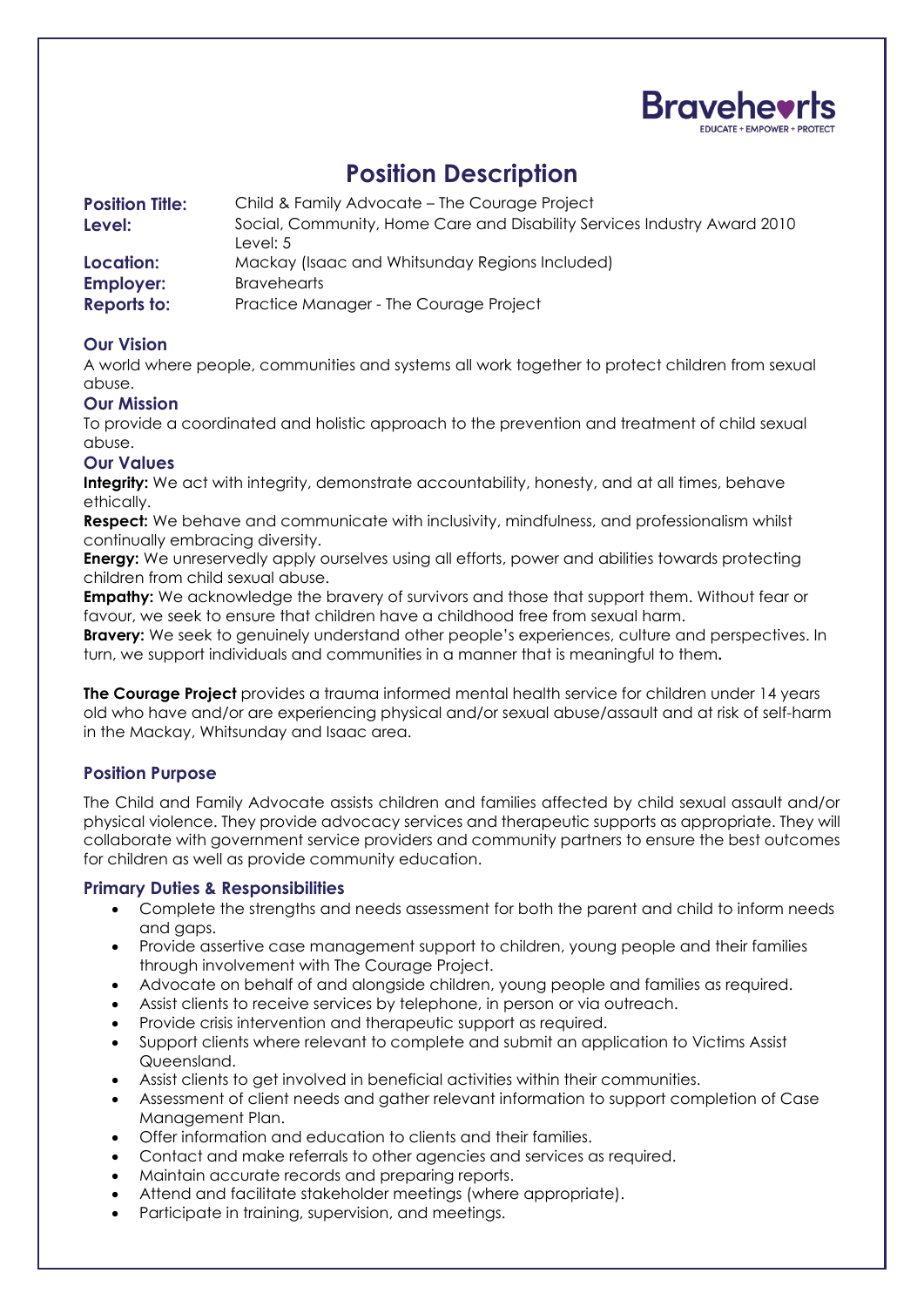

# **Position Description**

| <b>Position Title:</b> | Child & Family Advocate – The Courage Project                            |
|------------------------|--------------------------------------------------------------------------|
| Level:                 | Social, Community, Home Care and Disability Services Industry Award 2010 |
|                        | Level: $5$                                                               |
| Location:              | Mackay (Isaac and Whitsunday Regions Included)                           |
| <b>Employer:</b>       | <b>Bravehearts</b>                                                       |
| <b>Reports to:</b>     | Practice Manager - The Courage Project                                   |

# **Our Vision**

A world where people, communities and systems all work together to protect children from sexual abuse.

## **Our Mission**

To provide a coordinated and holistic approach to the prevention and treatment of child sexual abuse.

#### **Our Values**

**Integrity:** We act with integrity, demonstrate accountability, honesty, and at all times, behave ethically.

**Respect:** We behave and communicate with inclusivity, mindfulness, and professionalism whilst continually embracing diversity.

**Energy:** We unreservedly apply ourselves using all efforts, power and abilities towards protecting children from child sexual abuse.

**Empathy:** We acknowledge the bravery of survivors and those that support them. Without fear or favour, we seek to ensure that children have a childhood free from sexual harm.

**Bravery:** We seek to genuinely understand other people's experiences, culture and perspectives. In turn, we support individuals and communities in a manner that is meaningful to them**.** 

**The Courage Project** provides a trauma informed mental health service for children under 14 years old who have and/or are experiencing physical and/or sexual abuse/assault and at risk of self-harm in the Mackay, Whitsunday and Isaac area.

## **Position Purpose**

The Child and Family Advocate assists children and families affected by child sexual assault and/or physical violence. They provide advocacy services and therapeutic supports as appropriate. They will collaborate with government service providers and community partners to ensure the best outcomes for children as well as provide community education.

## **Primary Duties & Responsibilities**

- Complete the strengths and needs assessment for both the parent and child to inform needs and gaps.
- Provide assertive case management support to children, young people and their families through involvement with The Courage Project.
- Advocate on behalf of and alongside children, young people and families as required.
- Assist clients to receive services by telephone, in person or via outreach.
- Provide crisis intervention and therapeutic support as required.
- Support clients where relevant to complete and submit an application to Victims Assist Queensland.
- Assist clients to get involved in beneficial activities within their communities.
- Assessment of client needs and gather relevant information to support completion of Case Management Plan.
- Offer information and education to clients and their families.
- Contact and make referrals to other agencies and services as required.
- Maintain accurate records and preparing reports.
- Attend and facilitate stakeholder meetings (where appropriate).
- Participate in training, supervision, and meetings.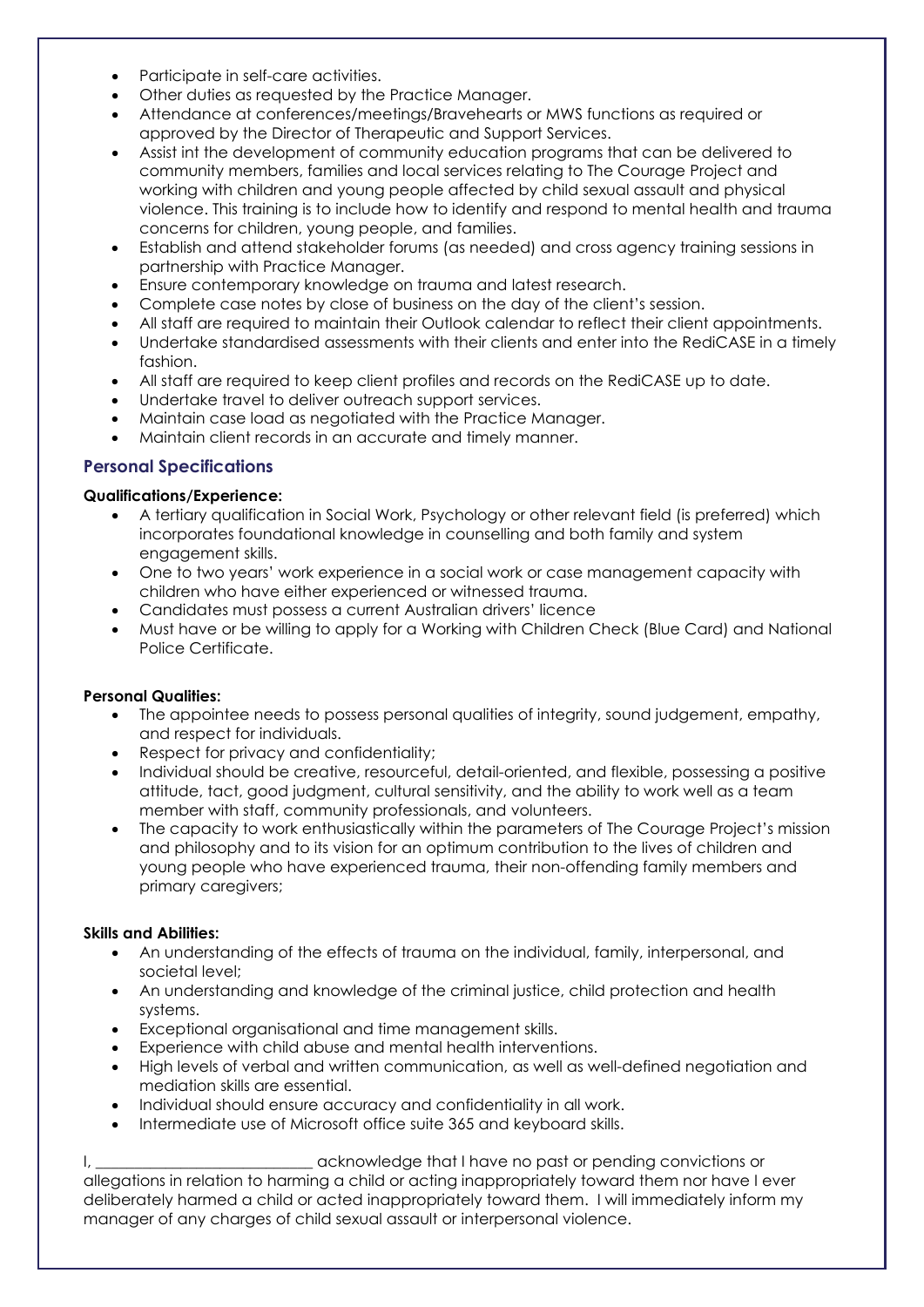- Participate in self-care activities.
- Other duties as requested by the Practice Manager.
- Attendance at conferences/meetings/Bravehearts or MWS functions as required or approved by the Director of Therapeutic and Support Services.
- Assist int the development of community education programs that can be delivered to community members, families and local services relating to The Courage Project and working with children and young people affected by child sexual assault and physical violence. This training is to include how to identify and respond to mental health and trauma concerns for children, young people, and families.
- Establish and attend stakeholder forums (as needed) and cross agency training sessions in partnership with Practice Manager.
- Ensure contemporary knowledge on trauma and latest research.
- Complete case notes by close of business on the day of the client's session.
- All staff are required to maintain their Outlook calendar to reflect their client appointments.
- Undertake standardised assessments with their clients and enter into the RediCASE in a timely fashion.
- All staff are required to keep client profiles and records on the RediCASE up to date.
- Undertake travel to deliver outreach support services.
- Maintain case load as negotiated with the Practice Manager.
- Maintain client records in an accurate and timely manner.

# **Personal Specifications**

#### **Qualifications/Experience:**

- A tertiary qualification in Social Work, Psychology or other relevant field (is preferred) which incorporates foundational knowledge in counselling and both family and system engagement skills.
- One to two years' work experience in a social work or case management capacity with children who have either experienced or witnessed trauma.
- Candidates must possess a current Australian drivers' licence
- Must have or be willing to apply for a Working with Children Check (Blue Card) and National Police Certificate.

#### **Personal Qualities:**

- The appointee needs to possess personal qualities of integrity, sound judgement, empathy, and respect for individuals.
- Respect for privacy and confidentiality;
- Individual should be creative, resourceful, detail-oriented, and flexible, possessing a positive attitude, tact, good judgment, cultural sensitivity, and the ability to work well as a team member with staff, community professionals, and volunteers.
- The capacity to work enthusiastically within the parameters of The Courage Project's mission and philosophy and to its vision for an optimum contribution to the lives of children and young people who have experienced trauma, their non-offending family members and primary caregivers;

#### **Skills and Abilities:**

- An understanding of the effects of trauma on the individual, family, interpersonal, and societal level;
- An understanding and knowledge of the criminal justice, child protection and health systems.
- Exceptional organisational and time management skills.
- Experience with child abuse and mental health interventions.
- High levels of verbal and written communication, as well as well-defined negotiation and mediation skills are essential.
- Individual should ensure accuracy and confidentiality in all work.
- Intermediate use of Microsoft office suite 365 and keyboard skills.

I, \_\_\_\_\_\_\_\_\_\_\_\_\_\_\_\_\_\_\_\_\_\_\_\_\_\_\_\_ acknowledge that I have no past or pending convictions or allegations in relation to harming a child or acting inappropriately toward them nor have I ever deliberately harmed a child or acted inappropriately toward them. I will immediately inform my manager of any charges of child sexual assault or interpersonal violence.